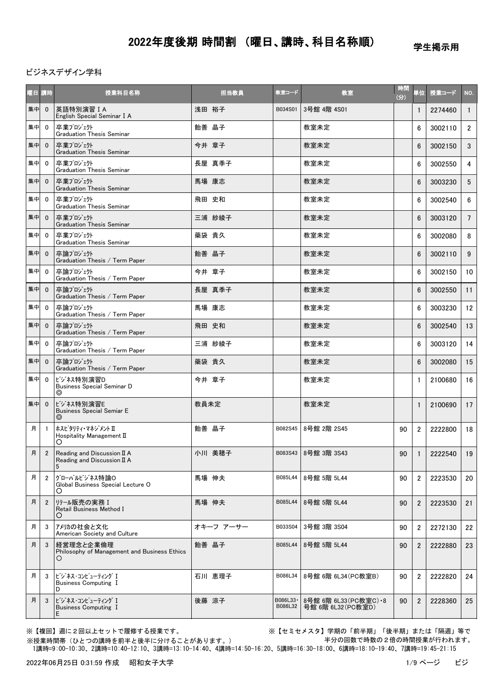学生掲示用

ビジネスデザイン学科

| 曜日 講時 |                | 授業科目名称                                                          | 担当教員      | 教室コード                | 教室                                            | 時間<br>(3) | 単位             | 授業コード   | NO.             |
|-------|----------------|-----------------------------------------------------------------|-----------|----------------------|-----------------------------------------------|-----------|----------------|---------|-----------------|
| 集中    | $\mathbf{0}$   | 英語特別演習 I A<br>English Special Seminar I A                       | 浅田 裕子     | B034S01              | 3号館 4階 4S01                                   |           | $\mathbf{1}$   | 2274460 | $\mathbf{1}$    |
| 集中    | $\mathbf{0}$   | 卒業プロジェクト<br><b>Graduation Thesis Seminar</b>                    | 飴善 晶子     |                      | 教室未定                                          |           | 6              | 3002110 | $2^{\circ}$     |
| 集中    | $\mathbf{0}$   | 卒業プロジェクト<br><b>Graduation Thesis Seminar</b>                    | 今井 章子     |                      | 教室未定                                          |           | 6              | 3002150 | 3               |
| 集中    | $\mathbf 0$    | 卒業プロジェクト<br><b>Graduation Thesis Seminar</b>                    | 長屋 真季子    |                      | 教室未定                                          |           | 6              | 3002550 | 4               |
| 集中    | $\mathbf{0}$   | 卒業プロジェクト<br><b>Graduation Thesis Seminar</b>                    | 馬場 康志     |                      | 教室未定                                          |           | 6              | 3003230 | $5^{\circ}$     |
| 集中    | $\mathbf{0}$   | 卒業プロジェクト<br><b>Graduation Thesis Seminar</b>                    | 飛田 史和     |                      | 教室未定                                          |           | 6              | 3002540 | 6               |
| 集中    | $\mathbf{0}$   | 卒業プロジェクト<br><b>Graduation Thesis Seminar</b>                    | 三浦 紗綾子    |                      | 教室未定                                          |           | 6              | 3003120 | $7^{\circ}$     |
| 集中    | $\mathbf{0}$   | 卒業プロジェクト<br><b>Graduation Thesis Seminar</b>                    | 藥袋 貴久     |                      | 教室未定                                          |           | 6              | 3002080 | 8               |
| 集中    | $\mathbf{0}$   | 卒論プロジェクト<br>Graduation Thesis / Term Paper                      | 飴善 晶子     |                      | 教室未定                                          |           | 6              | 3002110 | 9               |
| 集中    | $\mathbf{0}$   | 卒論プロジェクト<br>Graduation Thesis / Term Paper                      | 今井 章子     |                      | 教室未定                                          |           | 6              | 3002150 | 10 <sup>1</sup> |
| 集中    | $\mathbf{0}$   | 卒論プロジェクト<br>Graduation Thesis / Term Paper                      | 長屋 真季子    |                      | 教室未定                                          |           | $6\phantom{1}$ | 3002550 | 11              |
| 集中    | $\mathbf{0}$   | 卒論プロジェクト<br>Graduation Thesis / Term Paper                      | 馬場 康志     |                      | 教室未定                                          |           | 6              | 3003230 | 12              |
| 集中    | $\mathbf{0}$   | 卒論プロジェクト<br>Graduation Thesis / Term Paper                      | 飛田 史和     |                      | 教室未定                                          |           | 6              | 3002540 | 13              |
| 集中    | $\mathbf{0}$   | 卒論プロジェクト<br>Graduation Thesis / Term Paper                      | 三浦 紗綾子    |                      | 教室未定                                          |           | 6              | 3003120 | 14              |
| 集中    | $\mathbf{0}$   | 卒論プロジェクト<br>Graduation Thesis / Term Paper                      | 藥袋 貴久     |                      | 教室未定                                          |           | 6              | 3002080 | 15              |
| 集中    | $\mathbf{0}$   | ビジネス特別演習D<br><b>Business Special Seminar D</b><br>◎             | 今井 章子     |                      | 教室未定                                          |           | $\mathbf{1}$   | 2100680 | 16              |
| 集中    | $\mathbf{0}$   | ビジネス特別演習E<br><b>Business Special Semiar E</b><br>⊚              | 教員未定      |                      | 教室未定                                          |           | $\mathbf{1}$   | 2100690 | 17              |
| 月     | $\overline{1}$ | ホスピタリティ・マネジメント Π<br>Hospitality Management II<br>O              | 飴善 晶子     | B082S45              | 8号館 2階 2S45                                   | 90        | $\overline{2}$ | 2222800 | 18              |
| 月     | 2              | Reading and Discussion II A<br>Reading and Discussion II A<br>5 | 小川 美穂子    |                      | B083S43 8号館 3階 3S43                           | 90        | $\overline{1}$ | 2222540 | 19              |
| 月     | $\overline{2}$ | グローバルビジネス特論O<br>Global Business Special Lecture O<br>O          | 馬場 伸夫     | B085L44              | 8号館 5階 5L44                                   | 90        | $\overline{2}$ | 2223530 | 20              |
| 月     | $\overline{2}$ | リテール販売の実務 I<br>Retail Business Method I<br>O                    | 馬場 伸夫     | B085L44              | 8号館 5階 5L44                                   | 90        | $\overline{2}$ | 2223530 | 21              |
| 月     | 3              | アメリカの社会と文化<br>American Society and Culture                      | オキーフ アーサー | B033S04              | 3号館 3階 3S04                                   | 90        | $\overline{2}$ | 2272130 | 22              |
| 月     | 3              | 経営理念と企業倫理<br>Philosophy of Management and Business Ethics       | 飴善晶子      | B085L44              | 8号館 5階 5L44                                   | 90        | $\overline{2}$ | 2222880 | 23              |
| 月     | 3              | ビジネス・コンピューティング I<br><b>Business Computing I</b><br>D            | 石川 恵理子    | B086L34              | 8号館 6階 6L34 (PC教室B)                           | 90        | $\overline{2}$ | 2222820 | 24              |
| 月     | 3              | ビジネス・コンピューティング I<br><b>Business Computing I</b><br>Ε            | 後藤 涼子     | B086L33 ·<br>B086L32 | 8号館 6階 6L33 (PC教室C) • 8<br>号館 6階 6L32 (PC教室D) | 90        | $\overline{2}$ | 2228360 | 25              |

※授業時間帯(ひとつの講時を前半と後半に分けることがあります。)

※【複回】週に2回以上セットで履修する授業です。 ※【セミセメスタ】学期の「前半期」「後半期」または「隔週」等で 半分の回数で時数の2倍の時間授業が行われます。

1講時=9:00-10:30、2講時=10:40-12:10、3講時=13:10-14:40、4講時=14:50-16:20、5講時=16:30-18:00、6講時=18:10-19:40、7講時=19:45-21:15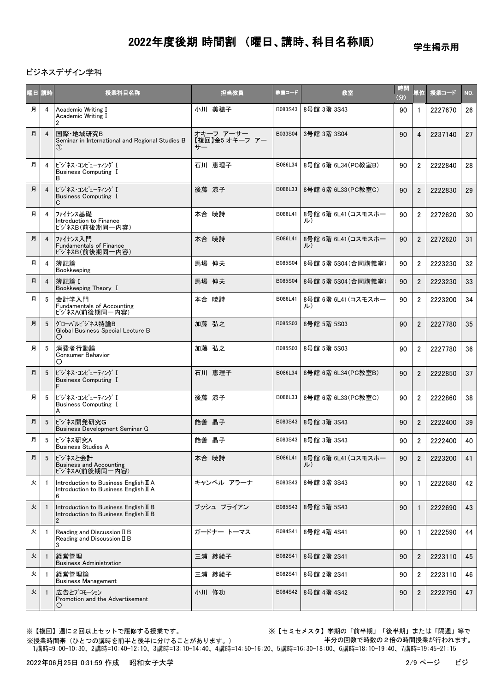学生掲示用

#### ビジネスデザイン学科

| 愛国 | 請時             | 授業科目名称                                                                                           | 担当教員                              | 教室コード   | 教室                        | 時間<br>(分) | 単位             | 授業コード   | NO. |
|----|----------------|--------------------------------------------------------------------------------------------------|-----------------------------------|---------|---------------------------|-----------|----------------|---------|-----|
| 月  | 4              | Academic Writing I<br>Academic Writing I<br>2                                                    | 小川 美穂子                            | B083S43 | 8号館 3階 3S43               | 90        | $\mathbf{1}$   | 2227670 | 26  |
| 月  | $\overline{4}$ | 国際·地域研究B<br>Seminar in International and Regional Studies B<br>(1)                               | オキーフ アーサー<br>【複回】金5 オキーフ アー<br>サー | B033S04 | 3号館 3階 3S04               | 90        | $\overline{4}$ | 2237140 | 27  |
| 月  | 4              | ビジネス・コンピューティング I<br><b>Business Computing I</b><br>B                                             | 石川 恵理子                            | B086L34 | 8号館 6階 6L34 (PC教室B)       | 90        | $\overline{2}$ | 2222840 | 28  |
| 月  | $\overline{4}$ | ビジネス・コンピューティング I<br><b>Business Computing I</b><br>C                                             | 後藤 涼子                             | B086L33 | 8号館 6階 6L33 (PC教室C)       | 90        | $\overline{2}$ | 2222830 | 29  |
| 月  | $\overline{4}$ | ファイナンス基礎<br>Introduction to Finance<br>ビジネスB(前後期同一内容)                                            | 本合 暁詩                             | B086L41 | 8号館 6階 6L41 (コスモスホー<br>ル) | 90        | $\overline{2}$ | 2272620 | 30  |
| 月  | $\overline{4}$ | ファイナンス入門<br><b>Fundamentals of Finance</b><br>ビジネスB(前後期同一内容)                                     | 本合 暁詩                             | B086L41 | 8号館 6階 6L41 (コスモスホー<br>ル) | 90        | $\overline{2}$ | 2272620 | 31  |
| 月  | 4              | 簿記論<br>Bookkeeping                                                                               | 馬場 伸夫                             | B085S04 | 8号館 5階 5S04 (合同講義室)       | 90        | $\overline{2}$ | 2223230 | 32  |
| 月  | $\overline{4}$ | 簿記論 I<br>Bookkeeping Theory I                                                                    | 馬場 伸夫                             | B085S04 | 8号館 5階 5S04 (合同講義室)       | 90        | $\overline{2}$ | 2223230 | 33  |
| 月  | 5              | 会計学入門<br><b>Fundamentals of Accounting</b><br>ビジネスA(前後期同一内容)                                     | 本合 暁詩                             | B086L41 | 8号館 6階 6L41(コスモスホー<br>ル)  | 90        | $\overline{2}$ | 2223200 | 34  |
| 月  | 5              | グローバルビジネス特論B<br>Global Business Special Lecture B<br>O                                           | 加藤 弘之                             | B085S03 | 8号館 5階 5S03               | 90        | $\overline{2}$ | 2227780 | 35  |
| 月  | 5              | 消費者行動論<br><b>Consumer Behavior</b><br>O                                                          | 加藤 弘之                             | B085S03 | 8号館 5階 5S03               | 90        | $\overline{2}$ | 2227780 | 36  |
| 月  | 5              | ビジネス・コンピューティング I<br><b>Business Computing I</b><br>F                                             | 石川 恵理子                            | B086L34 | 8号館 6階 6L34(PC教室B)        | 90        | $\overline{2}$ | 2222850 | 37  |
| 月  | 5              | ビジネス・コンピューティング I<br><b>Business Computing I</b><br>A                                             | 後藤 涼子                             | B086L33 | 8号館 6階 6L33 (PC教室C)       | 90        | $\overline{2}$ | 2222860 | 38  |
| 月  | 5              | ビジネス開発研究G<br><b>Business Development Seminar G</b>                                               | 飴善 晶子                             | B083S43 | 8号館 3階 3S43               | 90        | $\overline{2}$ | 2222400 | 39  |
| 月  | 5              | ビジネス研究A<br><b>Business Studies A</b>                                                             | 飴善 晶子                             | B083S43 | 8号館 3階 3S43               | 90        | $\overline{2}$ | 2222400 | 40  |
| 月  | 5              | ビジネスと会計<br><b>Business and Accounting</b><br>ビジネスA(前後期同一内容)                                      | 本合 暁詩                             | B086L41 | 8号館 6階 6L41(コスモスホー<br>ル)  | 90        | $\overline{2}$ | 2223200 | 41  |
| 火  | $\overline{1}$ | Introduction to Business English II A<br>Introduction to Business English II A<br>6              | キャンベル アラーナ                        | B083S43 | 8号館 3階 3S43               | 90        | $\mathbf{1}$   | 2222680 | 42  |
| 火  |                | Introduction to Business English II B<br>Introduction to Business English II B<br>$\overline{2}$ | ブッシュ ブライアン                        | B085S43 | 8号館 5階 5S43               | 90        | $\mathbf{1}$   | 2222690 | 43  |
| 火  | $\overline{1}$ | Reading and Discussion $I\!I$ B<br>Reading and Discussion II B<br>3                              | ガードナー トーマス                        | B084S41 | 8号館 4階 4S41               | 90        | $\mathbf{1}$   | 2222590 | 44  |
| 火  | $\overline{1}$ | 経営管理<br><b>Business Administration</b>                                                           | 三浦 紗綾子                            | B082S41 | 8号館 2階 2S41               | 90        | $\overline{2}$ | 2223110 | 45  |
| 火  | -1             | 経営管理論<br><b>Business Management</b>                                                              | 三浦 紗綾子                            | B082S41 | 8号館 2階 2S41               | 90        | $\overline{2}$ | 2223110 | 46  |
| 火  | $\overline{1}$ | 広告とプロモーション<br>Promotion and the Advertisement                                                    | 小川 修功                             | B084S42 | 8号館 4階 4S42               | 90        | $\overline{2}$ | 2222790 | 47  |

※【複回】週に2回以上セットで履修する授業です。 ※【セミセメスタ】学期の「前半期」「後半期」または「隔週」等で 半分の回数で時数の2倍の時間授業が行われます。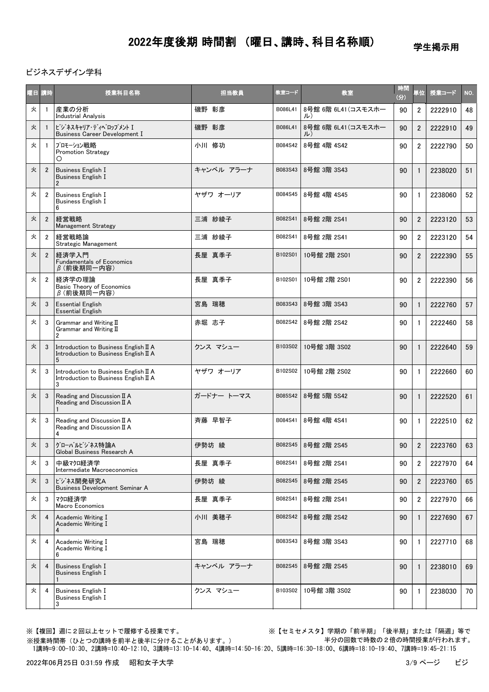学生掲示用

ビジネスデザイン学科

|   | 曜日 講時          | 授業科目名称                                                                              | 担当教員       | 教室コード   | 教室                        | 時間<br>(分) | 単位             | 授業コード   | NO. |
|---|----------------|-------------------------------------------------------------------------------------|------------|---------|---------------------------|-----------|----------------|---------|-----|
| 火 | -1             | 産業の分析<br><b>Industrial Analysis</b>                                                 | 磯野 彰彦      | B086L41 | 8号館 6階 6L41 (コスモスホー<br>ル) | 90        | $\overline{2}$ | 2222910 | 48  |
| 火 | -1             | ビジネスキャリア·ディベロップメント I<br><b>Business Career Development I</b>                        | 磯野 彰彦      | B086L41 | 8号館 6階 6L41 (コスモスホー<br>ル) | 90        | $\overline{2}$ | 2222910 | 49  |
| 火 | -1             | プロモーション戦略<br><b>Promotion Strategy</b>                                              | 小川 修功      | B084S42 | 8号館 4階 4S42               | 90        | $\overline{2}$ | 2222790 | 50  |
| 火 | $\overline{2}$ | <b>Business English I</b><br><b>Business English I</b>                              | キャンベル アラーナ | B083S43 | 8号館 3階 3S43               | 90        | $\mathbf{1}$   | 2238020 | 51  |
| 火 | $\overline{2}$ | Business English I<br><b>Business English I</b>                                     | ヤザワ オーリア   | B084S45 | 8号館 4階 4S45               | 90        | $\mathbf{1}$   | 2238060 | 52  |
| 火 | $\overline{2}$ | 経営戦略<br><b>Management Strategy</b>                                                  | 三浦 紗綾子     | B082S41 | 8号館 2階 2S41               | 90        | $\overline{2}$ | 2223120 | 53  |
| 火 | $\overline{2}$ | 経営戦略論<br>Strategic Management                                                       | 三浦 紗綾子     | B082S41 | 8号館 2階 2S41               | 90        | $\overline{2}$ | 2223120 | 54  |
| 火 | $\overline{2}$ | 経済学入門<br><b>Fundamentals of Economics</b><br>$\beta$ (前後期同一内容)                      | 長屋 真季子     | B102S01 | 10号館 2階 2S01              | 90        | $\overline{2}$ | 2222390 | 55  |
| 火 | $\overline{2}$ | 経済学の理論<br><b>Basic Theory of Economics</b><br>$\beta$ (前後期同一内容)                     | 長屋 真季子     | B102S01 | 10号館 2階 2S01              | 90        | $\overline{2}$ | 2222390 | 56  |
| 火 | 3              | <b>Essential English</b><br><b>Essential English</b>                                | 宮島 瑞穂      | B083S43 | 8号館 3階 3S43               | 90        | $\mathbf{1}$   | 2222760 | 57  |
| 火 | 3              | Grammar and Writing II<br>Grammar and Writing II<br>$\overline{2}$                  | 赤堀 志子      | B082S42 | 8号館 2階 2S42               | 90        | $\mathbf{1}$   | 2222460 | 58  |
| 火 | 3              | Introduction to Business English II A<br>Introduction to Business English II A<br>5 | クンス マシュー   | B103S02 | 10号館 3階 3S02              | 90        | $\mathbf{1}$   | 2222640 | 59  |
| 火 | 3              | Introduction to Business English II A<br>Introduction to Business English II A<br>3 | ヤザワ オーリア   | B102S02 | 10号館 2階 2S02              | 90        | $\mathbf{1}$   | 2222660 | 60  |
| 火 | 3              | Reading and Discussion II A<br>Reading and Discussion II A                          | ガードナー トーマス | B085S42 | 8号館 5階 5S42               | 90        | $\mathbf{1}$   | 2222520 | 61  |
| 火 | 3              | Reading and Discussion II A<br>Reading and Discussion II A<br>4                     | 斉藤 早智子     | B084S41 | 8号館 4階 4S41               | 90        | $\mathbf{1}$   | 2222510 | 62  |
| 火 | 3              | グローバルビジネス特論A<br>Global Business Research A                                          | 伊勢坊 綾      | B082S45 | 8号館 2階 2S45               | 90        | $\overline{2}$ | 2223760 | 63  |
| 火 | 3              | 中級マクロ経済学<br>Intermediate Macroeconomics                                             | 長屋 真季子     | B082S41 | 8号館 2階 2S41               | 90        | $\overline{2}$ | 2227970 | 64  |
| 火 | 3              | ビジネス開発研究A<br>Business Development Seminar A                                         | 伊勢坊 綾      | B082S45 | 8号館 2階 2S45               | 90        | $\overline{2}$ | 2223760 | 65  |
| 火 | 3              | マクロ経済学<br><b>Macro Economics</b>                                                    | 長屋 真季子     | B082S41 | 8号館 2階 2S41               | 90        | $\overline{2}$ | 2227970 | 66  |
| 火 | 4              | Academic Writing I<br>Academic Writing I                                            | 小川 美穂子     | B082S42 | 8号館 2階 2S42               | 90        | $\mathbf{1}$   | 2227690 | 67  |
| 火 | 4              | Academic Writing I<br>Academic Writing I<br>6                                       | 宮島 瑞穂      | B083S43 | 8号館 3階 3S43               | 90        | 1              | 2227710 | 68  |
| 火 | 4              | <b>Business English I</b><br><b>Business English I</b>                              | キャンベル アラーナ | B082S45 | 8号館 2階 2S45               | 90        | $\mathbf{1}$   | 2238010 | 69  |
| 火 | 4              | <b>Business English I</b><br><b>Business English I</b><br>3                         | クンス マシュー   | B103S02 | 10号館 3階 3S02              | 90        | 1              | 2238030 | 70  |

※【複回】週に2回以上セットで履修する授業です。 ※【セミセメスタ】学期の「前半期」「後半期」または「隔週」等で 半分の回数で時数の2倍の時間授業が行われます。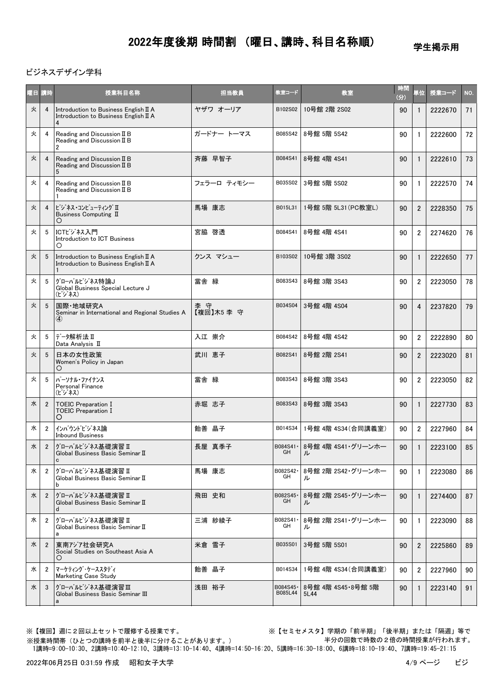学生掲示用

#### ビジネスデザイン学科

| 曜日 講時 |                | 授業科目名称                                                                              | 担当教員              | 教室コード                | 教室                         | 時間<br>(分) | 単位             | 授業コード   | NO. |
|-------|----------------|-------------------------------------------------------------------------------------|-------------------|----------------------|----------------------------|-----------|----------------|---------|-----|
| 火     | $\overline{4}$ | Introduction to Business English II A<br>Introduction to Business English II A<br>4 | ヤザワ オーリア          | B102S02              | 10号館 2階 2S02               | 90        | $\mathbf{1}$   | 2222670 | 71  |
| 火     | 4              | Reading and Discussion II B<br>Reading and Discussion II B<br>2                     | ガードナー トーマス        | B085S42              | 8号館 5階 5S42                | 90        | $\mathbf{1}$   | 2222600 | 72  |
| 火     | $\overline{4}$ | Reading and Discussion II B<br>Reading and Discussion II B<br>5                     | 斉藤 早智子            | B084S41              | 8号館 4階 4S41                | 90        | $\mathbf{1}$   | 2222610 | 73  |
| 火     | 4              | Reading and Discussion II B<br>Reading and Discussion II B                          | フェラーロ ティモシー       | B035S02              | 3号館 5階 5S02                | 90        | $\mathbf{1}$   | 2222570 | 74  |
| 火     | $\overline{4}$ | ビジネス・コンピューティング II<br>Business Computing II<br>O                                     | 馬場 康志             | B015L31              | 1号館 5階 5L31(PC教室L)         | 90        | $\overline{2}$ | 2228350 | 75  |
| 火     | 5              | ICTビジネス入門<br>Introduction to ICT Business<br>O                                      | 宮脇 啓透             | B084S41              | 8号館 4階 4S41                | 90        | $\overline{2}$ | 2274620 | 76  |
| 火     | 5              | Introduction to Business English II A<br>Introduction to Business English II A      | クンス マシュー          | B103S02              | 10号館 3階 3S02               | 90        | $\mathbf{1}$   | 2222650 | 77  |
| 火     | 5              | グローバルビジネス特論J<br>Global Business Special Lecture J<br>(ビジネス)                         | 當舎 緑              | B083S43              | 8号館 3階 3S43                | 90        | $\overline{2}$ | 2223050 | 78  |
| 火     | 5              | 国際·地域研究A<br>Seminar in International and Regional Studies A<br>$\bf(4)$             | 李 守<br>【複回】木5 李 守 | B034S04              | 3号館 4階 4S04                | 90        | 4              | 2237820 | 79  |
| 火     | 5              | データ解析法Ⅱ<br>Data Analysis II                                                         | 入江 崇介             | B084S42              | 8号館 4階 4S42                | 90        | $\overline{c}$ | 2222890 | 80  |
| 火     | 5              | 日本の女性政策<br>Women's Policy in Japan<br>$\circ$                                       | 武川 恵子             | B082S41              | 8号館 2階 2S41                | 90        | $\overline{2}$ | 2223020 | 81  |
| 火     | 5              | パーソナル・ファイナンス<br><b>Personal Finance</b><br>(ビジネス)                                   | 當舎 緑              | B083S43              | 8号館 3階 3S43                | 90        | $\overline{2}$ | 2223050 | 82  |
| 水     | $\overline{2}$ | <b>TOEIC Preparation I</b><br><b>TOEIC Preparation I</b><br>O                       | 赤堀 志子             | B083S43              | 8号館 3階 3S43                | 90        | $\mathbf{1}$   | 2227730 | 83  |
| 水     | $\overline{2}$ | インバウンドビジネス論<br><b>Inbound Business</b>                                              | 飴善 晶子             | B014S34              | 1号館 4階 4S34(合同講義室)         | 90        | $\overline{2}$ | 2227960 | 84  |
| 水     | $\overline{2}$ | グローバルビジネス基礎演習 II<br>Global Business Basic Seminar II<br>C                           | 長屋 真季子            | B084S41 ·<br>GH      | 8号館 4階 4S41・グリーンホー<br>ル    | 90        | $\mathbf{1}$   | 2223100 | 85  |
| 水     | $\overline{2}$ | グローバルビジネス基礎演習 II<br>Global Business Basic Seminar II<br>b                           | 馬場 康志             | B082S42-<br>GH       | 8号館 2階 2S42・グリーンホー<br>ル    | 90        | 1              | 2223080 | 86  |
| 水     | $\overline{2}$ | グローバルビジネス基礎演習 Ⅱ<br>Global Business Basic Seminar II<br>d                            | 飛田 史和             | B082S45-<br>GH       | 8号館 2階 2S45·グリーンホー<br>ル    | 90        | $\mathbf{1}$   | 2274400 | 87  |
| 水     | $\overline{2}$ | グローバルビジネス基礎演習 Ⅱ<br>Global Business Basic Seminar II<br>a                            | 三浦 紗綾子            | B082S41<br>GH        | 8号館 2階 2S41・グリーンホー<br>ル    | 90        | 1              | 2223090 | 88  |
| 水     | $\overline{2}$ | 東南アジア社会研究A<br>Social Studies on Southeast Asia A<br>O                               | 米倉 雪子             | B035S01              | 3号館 5階 5S01                | 90        | $\overline{2}$ | 2225860 | 89  |
| 水     | $\overline{2}$ | マーケティング・ケーススタディ<br><b>Marketing Case Study</b>                                      | 飴善 晶子             | B014S34              | 1号館 4階 4S34 (合同講義室)        | 90        | $\overline{2}$ | 2227960 | 90  |
| 水     | 3              | グローバルビジネス基礎演習Ⅲ<br>Global Business Basic Seminar III<br>a                            | 浅田 裕子             | B084S45 ·<br>B085L44 | 8号館 4階 4S45·8号館 5階<br>5L44 | 90        | $\mathbf{1}$   | 2223140 | 91  |

※授業時間帯(ひとつの講時を前半と後半に分けることがあります。)

※【複回】週に2回以上セットで履修する授業です。 ※【セミセメスタ】学期の「前半期」「後半期」または「隔週」等で 半分の回数で時数の2倍の時間授業が行われます。

1講時=9:00-10:30、2講時=10:40-12:10、3講時=13:10-14:40、4講時=14:50-16:20、5講時=16:30-18:00、6講時=18:10-19:40、7講時=19:45-21:15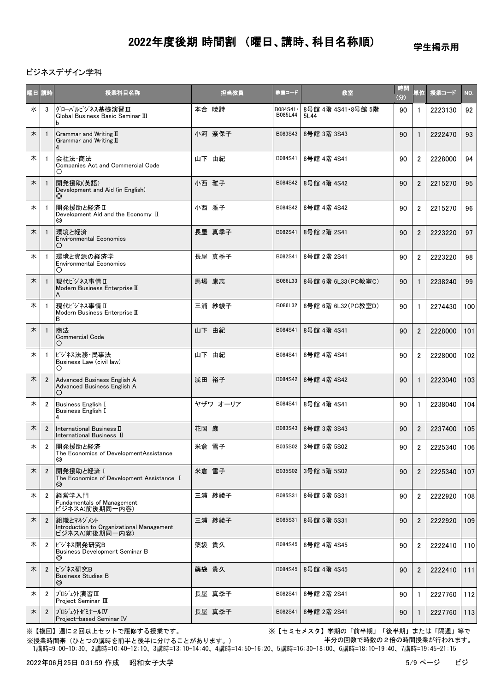学生掲示用

#### ビジネスデザイン学科

| 曜日 講時 |                | 授業科目名称                                                                   | 担当教員     | 教室コード                | 教室                         | 時間<br>(3) | <b>単位</b>      | 授業コード   | NO. |
|-------|----------------|--------------------------------------------------------------------------|----------|----------------------|----------------------------|-----------|----------------|---------|-----|
| 水     | 3              | グローバルビジネス基礎演習Ⅲ<br>Global Business Basic Seminar III<br>b                 | 本合 暁詩    | B084S41 ·<br>B085L44 | 8号館 4階 4S41 8号館 5階<br>5L44 | 90        | 1              | 2223130 | 92  |
| 木     |                | Grammar and Writing II<br>Grammar and Writing II<br>$\overline{4}$       | 小河 奈保子   | B083S43              | 8号館 3階 3S43                | 90        | $\mathbf{1}$   | 2222470 | 93  |
| 木     | -1             | 会社法 商法<br>Companies Act and Commercial Code<br>Ο                         | 山下 由紀    | B084S41              | 8号館 4階 4S41                | 90        | $\overline{2}$ | 2228000 | 94  |
| 木     |                | 開発援助(英語)<br>Development and Aid (in English)<br>◎                        | 小西 雅子    | B084S42              | 8号館 4階 4S42                | 90        | $\overline{2}$ | 2215270 | 95  |
| 木     |                | 開発援助と経済 II<br>Development Aid and the Economy II<br>⊚                    | 小西 雅子    | B084S42              | 8号館 4階 4S42                | 90        | $\overline{2}$ | 2215270 | 96  |
| 木     |                | 環境と経済<br><b>Environmental Economics</b><br>O                             | 長屋 真季子   | B082S41              | 8号館 2階 2S41                | 90        | $\overline{2}$ | 2223220 | 97  |
| 木     |                | 環境と資源の経済学<br><b>Environmental Economics</b><br>O                         | 長屋 真季子   | B082S41              | 8号館 2階 2S41                | 90        | $\overline{2}$ | 2223220 | 98  |
| 木     |                | 現代ビジネス事情Ⅱ<br>Modern Business Enterprise II<br>A                          | 馬場 康志    | B086L33              | 8号館 6階 6L33 (PC教室C)        | 90        |                | 2238240 | 99  |
| 木     |                | 現代ビジネス事情 I<br>Modern Business Enterprise II<br>B                         | 三浦 紗綾子   | B086L32              | 8号館 6階 6L32(PC教室D)         | 90        | $\mathbf{1}$   | 2274430 | 100 |
| 木     |                | 商法<br><b>Commercial Code</b><br>O                                        | 山下 由紀    | B084S41              | 8号館 4階 4S41                | 90        | $\overline{2}$ | 2228000 | 101 |
| 木     |                | ビジネス法務・民事法<br>Business Law (civil law)<br>О                              | 山下 由紀    | B084S41              | 8号館 4階 4S41                | 90        | $\overline{2}$ | 2228000 | 102 |
| 木     | $\overline{2}$ | Advanced Business English A<br>Advanced Business English A<br>O          | 浅田 裕子    | B084S42              | 8号館 4階 4S42                | 90        | $\mathbf{1}$   | 2223040 | 103 |
| 木     | 2              | <b>Business English I</b><br>Business English I<br>4                     | ヤザワ オーリア | B084S41              | 8号館 4階 4S41                | 90        | $\mathbf{1}$   | 2238040 | 104 |
| 木     | $\overline{2}$ | International Business II<br>International Business II                   | 花岡 巌     | B083S43              | 8号館 3階 3S43                | 90        | $\overline{2}$ | 2237400 | 105 |
| 木     | $\overline{2}$ | 開発援助と経済<br>The Economics of DevelopmentAssistance<br>⊚                   | 米倉 雪子    | B035S02              | 3号館 5階 5S02                | 90        | $\overline{2}$ | 2225340 | 106 |
| 木     | $\overline{2}$ | 開発援助と経済 I<br>The Economics of Development Assistance I<br>$\circledcirc$ | 米倉 雪子    | B035S02              | 3号館 5階 5S02                | 90        | $\overline{c}$ | 2225340 | 107 |
| 木     | $\overline{2}$ | 経営学入門<br>Fundamentals of Management<br>ビジネスA(前後期同一内容)                    | 三浦 紗綾子   | B085S31              | 8号館 5階 5S31                | 90        | $\overline{2}$ | 2222920 | 108 |
| 木     | $\overline{2}$ | 組織とマネジメント<br>Introduction to Organizational Management<br>ビジネスA(前後期同一内容) | 三浦 紗綾子   | B085S31              | 8号館 5階 5S31                | 90        | $\overline{2}$ | 2222920 | 109 |
| 木     | $\overline{2}$ | ビジネス開発研究B<br><b>Business Development Seminar B</b><br>$\circledcirc$     | 藥袋 貴久    | B084S45              | 8号館 4階 4S45                | 90        | 2              | 2222410 | 110 |
| 木     | $\overline{2}$ | ビジネス研究B<br><b>Business Studies B</b><br>$\circledcirc$                   | 藥袋 貴久    | B084S45              | 8号館 4階 4S45                | 90        | $\overline{c}$ | 2222410 | 111 |
| 木     | 2              | プロジェクト演習Ⅲ<br>Project Seminar III                                         | 長屋 真季子   | B082S41              | 8号館 2階 2S41                | 90        | $\mathbf{1}$   | 2227760 | 112 |
| 木     | $\overline{2}$ | プロジェクトゼミナールⅣ<br>Project-based Seminar IV                                 | 長屋 真季子   | B082S41              | 8号館 2階 2S41                | 90        | 1              | 2227760 | 113 |

※【複回】週に2回以上セットで履修する授業です。 ※【セミセメスタ】学期の「前半期」「後半期」または「隔週」等で 半分の回数で時数の2倍の時間授業が行われます。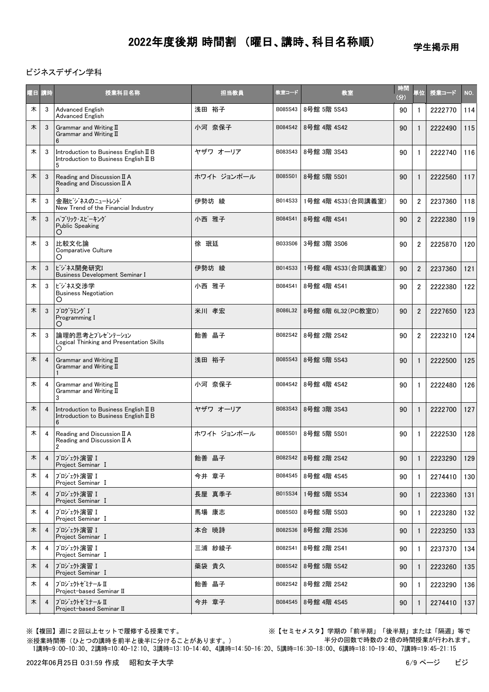学生掲示用

#### ビジネスデザイン学科

| 曜日 講時 |                | 授業科目名称                                                                              | 担当教員        | 教室コード   | 教室                  | 時間<br>(分) | 単位             | 授業コード   | NO. |
|-------|----------------|-------------------------------------------------------------------------------------|-------------|---------|---------------------|-----------|----------------|---------|-----|
| 木     | 3              | <b>Advanced English</b><br><b>Advanced English</b>                                  | 浅田 裕子       | B085S43 | 8号館 5階 5S43         | 90        | $\mathbf{1}$   | 2222770 | 114 |
| 木     | 3              | Grammar and Writing $II$<br>Grammar and Writing II<br>6                             | 小河 奈保子      | B084S42 | 8号館 4階 4S42         | 90        | $\mathbf{1}$   | 2222490 | 115 |
| 木     | 3              | Introduction to Business English II B<br>Introduction to Business English II B<br>5 | ヤザワ オーリア    | B083S43 | 8号館 3階 3S43         | 90        | $\mathbf{1}$   | 2222740 | 116 |
| 木     | 3              | Reading and Discussion II A<br>Reading and Discussion II A                          | ホワイト ジョンポール | B085S01 | 8号館 5階 5S01         | 90        | $\mathbf{1}$   | 2222560 | 117 |
| 木     | 3              | 金融ビジネスのニュートレント<br>New Trend of the Financial Industry                               | 伊勢坊 綾       | B014S33 | 1号館 4階 4S33 (合同講義室) | 90        | $\overline{2}$ | 2237360 | 118 |
| 木     | 3              | パブリック・スピーキング<br>Public Speaking<br>Ő                                                | 小西 雅子       | B084S41 | 8号館 4階 4S41         | 90        | $\overline{2}$ | 2222380 | 119 |
| 木     | 3              | 比較文化論<br>Comparative Culture                                                        | 徐 珉廷        | B033S06 | 3号館 3階 3S06         | 90        | $\overline{2}$ | 2225870 | 120 |
| 木     | 3              | ビジネス開発研究I<br>Business Development Seminar I                                         | 伊勢坊 綾       | B014S33 | 1号館 4階 4S33 (合同講義室) | 90        | $\overline{2}$ | 2237360 | 121 |
| 木     | 3              | ビジネス交渉学<br><b>Business Negotiation</b><br>O                                         | 小西 雅子       | B084S41 | 8号館 4階 4S41         | 90        | $\overline{2}$ | 2222380 | 122 |
| 木     | 3              | プログラミング I<br>Programming I<br>О                                                     | 米川 孝宏       | B086L32 | 8号館 6階 6L32 (PC教室D) | 90        | $\overline{2}$ | 2227650 | 123 |
| 木     | 3              | 論理的思考とプレゼンテーション<br>Logical Thinking and Presentation Skills<br>O                    | 飴善 晶子       | B082S42 | 8号館 2階 2S42         | 90        | $\overline{2}$ | 2223210 | 124 |
| 木     | 4              | Grammar and Writing II<br>Grammar and Writing II                                    | 浅田 裕子       | B085S43 | 8号館 5階 5S43         | 90        | $\mathbf{1}$   | 2222500 | 125 |
| 木     | 4              | Grammar and Writing II<br>Grammar and Writing II<br>3                               | 小河 奈保子      | B084S42 | 8号館 4階 4S42         | 90        | $\mathbf{1}$   | 2222480 | 126 |
| 木     | $\overline{a}$ | Introduction to Business English II B<br>Introduction to Business English II B<br>6 | ヤザワ オーリア    | B083S43 | 8号館 3階 3S43         | 90        | $\mathbf{1}$   | 2222700 | 127 |
| 木     | 4              | Reading and Discussion II A<br>Reading and Discussion II A<br>$\overline{2}$        | ホワイト ジョンポール | B085S01 | 8号館 5階 5S01         | 90        | $\mathbf{1}$   | 2222530 | 128 |
| 木     | $\overline{4}$ | プロジェクト演習 I<br>Project Seminar I                                                     | 飴善 晶子       | B082S42 | 8号館 2階 2S42         | 90        | 1              | 2223290 | 129 |
| 木     | 4              | プロジェクト演習 I<br>Project Seminar I                                                     | 今井 章子       | B084S45 | 8号館 4階 4S45         | 90        | 1              | 2274410 | 130 |
| 木     | $\overline{4}$ | プロジェクト演習Ⅰ<br>Project Seminar I                                                      | 長屋 真季子      | B015S34 | 1号館 5階 5S34         | 90        | 1              | 2223360 | 131 |
| 木     | 4              | プロジェクト演習 I<br>Project Seminar I                                                     | 馬場 康志       | B085S03 | 8号館 5階 5S03         | 90        | 1              | 2223280 | 132 |
| 木     | $\overline{4}$ | プロジェクト演習Ⅰ<br>Project Seminar I                                                      | 本合 暁詩       | B082S36 | 8号館 2階 2S36         | 90        |                | 2223250 | 133 |
| 木     | 4              | プロジェクト演習Ⅰ<br>Project Seminar I                                                      | 三浦 紗綾子      | B082S41 | 8号館 2階 2S41         | 90        | 1              | 2237370 | 134 |
| 木     | $\overline{4}$ | プロジェクト演習 I<br>Project Seminar I                                                     | 藥袋 貴久       | B085S42 | 8号館 5階 5S42         | 90        | $\mathbf{1}$   | 2223260 | 135 |
| 木     | 4              | プロジェクトセミナール Ⅱ<br>Project-based Seminar II                                           | 飴善晶子        | B082S42 | 8号館 2階 2S42         | 90        | 1              | 2223290 | 136 |
| 木     | $\overline{4}$ | プロジェクトセ ミナール Ⅱ<br>Project-based Seminar II                                          | 今井 章子       | B084S45 | 8号館 4階 4S45         | 90        |                | 2274410 | 137 |

※【複回】週に2回以上セットで履修する授業です。 ※【セミセメスタ】学期の「前半期」「後半期」または「隔週」等で 半分の回数で時数の2倍の時間授業が行われます。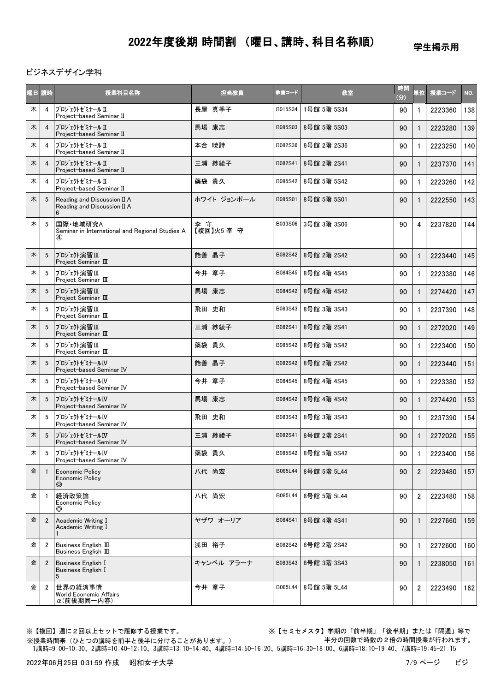学生掲示用

ビジネスデザイン学科

| 曜日 講時 |                 | 授業科目名称                                                                  | 担当教員            | 教室コード   | 教室                  | 時間<br>(3) | 単位             | 授業コード   | NO. |
|-------|-----------------|-------------------------------------------------------------------------|-----------------|---------|---------------------|-----------|----------------|---------|-----|
| 木     | 4               | プロジェクトセミナール Ⅱ<br>Project-based Seminar II                               | 長屋 真季子          | B015S34 | 1号館 5階 5S34         | 90        | $\mathbf{1}$   | 2223360 | 138 |
| 木     | $\overline{4}$  | プロジェクトゼミナール II<br>Project-based Seminar II                              | 馬場 康志           | B085S03 | 8号館 5階 5S03         | 90        | $\mathbf{1}$   | 2223280 | 139 |
| 木     | 4               | プロジェクトセミナール Ⅱ<br>Project-based Seminar II                               | 本合 暁詩           | B082S36 | 8号館 2階 2S36         | 90        | $\mathbf{1}$   | 2223250 | 140 |
| 木     | $\overline{4}$  | プロジェクトセ ミナール Ⅱ<br>Project-based Seminar II                              | 三浦 紗綾子          | B082S41 | 8号館 2階 2S41         | 90        | $\mathbf{1}$   | 2237370 | 141 |
| 木     | 4               | プロジェクトセ゛ミナール Ⅱ<br>Project-based Seminar II                              | 藥袋 貴久           | B085S42 | 8号館 5階 5S42         | 90        | $\mathbf{1}$   | 2223260 | 142 |
| 木     | 5               | Reading and Discussion II A<br>Reading and Discussion II A<br>6         | ホワイト ジョンポール     | B085S01 | 8号館 5階 5S01         | 90        | $\mathbf{1}$   | 2222550 | 143 |
| 木     | 5               | 国際·地域研究A<br>Seminar in International and Regional Studies A<br>$\bf(4)$ | 李守<br>【複回】火5 李守 | B033S06 | 3号館 3階 3S06         | 90        | 4              | 2237820 | 144 |
| 木     | 5               | プロジェクト演習Ⅲ<br>Project Seminar III                                        | 飴善晶子            | B082S42 | 8号館 2階 2S42         | 90        | $\mathbf{1}$   | 2223440 | 145 |
| 木     | 5               | プロジェクト演習Ⅲ<br>Project Seminar III                                        | 今井 章子           | B084S45 | 8号館 4階 4S45         | 90        | $\mathbf{1}$   | 2223380 | 146 |
| 木     | 5               | プロジェクト演習Ⅲ<br>Project Seminar III                                        | 馬場 康志           | B084S42 | 8号館 4階 4S42         | 90        | $\mathbf{1}$   | 2274420 | 147 |
| 木     | 5               | プロジェクト演習Ⅲ<br>Project Seminar III                                        | 飛田 史和           | B083S43 | 8号館 3階 3S43         | 90        | 1              | 2237390 | 148 |
| 木     | 5               | プロジェクト演習Ⅲ<br>Project Seminar III                                        | 三浦 紗綾子          | B082S41 | 8号館 2階 2S41         | 90        | $\mathbf{1}$   | 2272020 | 149 |
| 木     | 5               | プロジェクト演習Ⅲ<br>Project Seminar III                                        | 藥袋 貴久           | B085S42 | 8号館 5階 5S42         | 90        | $\mathbf{1}$   | 2223400 | 150 |
| 木     | 5               | プロジェクトセミナールIV<br>Project-based Seminar IV                               | 飴善晶子            | B082S42 | 8号館 2階 2S42         | 90        | 1              | 2223440 | 151 |
| 木     | 5               | プロジェクトセミナールIV<br>Project-based Seminar IV                               | 今井 章子           | B084S45 | 8号館 4階 4S45         | 90        | $\mathbf{1}$   | 2223380 | 152 |
| 木     | 5               | プロジェクトセミナールIV<br>Project-based Seminar IV                               | 馬場 康志           | B084S42 | 8号館 4階 4S42         | 90        | $\mathbf{1}$   | 2274420 | 153 |
| 木     | 5               | プロジェクトセミナールIV<br>Project-based Seminar IV                               | 飛田 史和           | B083S43 | 8号館 3階 3S43         | 90        | 1              | 2237390 | 154 |
| 木     | $5\overline{5}$ | プロジェクトゼミナールIV<br>Project-based Seminar IV                               | 三浦 紗綾子          | B082S41 | 8号館 2階 2S41         | 90        | $\mathbf{1}$   | 2272020 | 155 |
| 木     | 5               | プロジェクトゼミナールⅣ<br>Project-based Seminar IV                                | 藥袋 貴久           |         | B085S42 8号館 5階 5S42 | 90        | $\mathbf{1}$   | 2223400 | 156 |
| 金     |                 | <b>Economic Policy</b><br><b>Economic Policy</b><br>$\circledcirc$      | 八代 尚宏           | B085L44 | 8号館 5階 5L44         | 90        | $\overline{2}$ | 2223480 | 157 |
| 金     | -1              | 経済政策論<br>Economic Policy                                                | 八代 尚宏           | B085L44 | 8号館 5階 5L44         | 90        | 2              | 2223480 | 158 |
| 金     | $\overline{2}$  | Academic Writing I<br>Academic Writing I                                | ヤザワ オーリア        | B084S41 | 8号館 4階 4S41         | 90        | $\mathbf{1}$   | 2227660 | 159 |
| 金     | $\overline{2}$  | Business English III<br>Business English III                            | 浅田 裕子           | B082S42 | 8号館 2階 2S42         | 90        | $\mathbf{1}$   | 2272600 | 160 |
| 金     | $\overline{2}$  | <b>Business English I</b><br><b>Business English I</b><br>5             | キャンベル アラーナ      | B083S43 | 8号館 3階 3S43         | 90        | $\mathbf{1}$   | 2238050 | 161 |
| 金     | $\overline{2}$  | 世界の経済事情<br><b>World Economic Affairs</b><br>$\alpha$ (前後期同一内容)          | 今井 章子           | B085L44 | 8号館 5階 5L44         | 90        | $\overline{2}$ | 2223490 | 162 |

※【複回】週に2回以上セットで履修する授業です。 ※【セミセメスタ】学期の「前半期」「後半期」または「隔週」等で 半分の回数で時数の2倍の時間授業が行われます。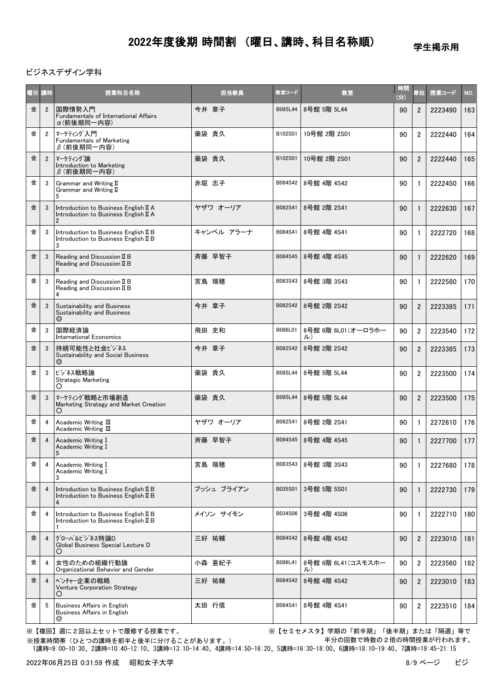学生掲示用

ビジネスデザイン学科

| 曜日 講時 |                | 授業科目名称                                                                                           | 担当教員       | 教室コード   | 教室                        | 時間<br>(3) | 単位             | 授業コード   | NO. |
|-------|----------------|--------------------------------------------------------------------------------------------------|------------|---------|---------------------------|-----------|----------------|---------|-----|
| 金     | $\overline{2}$ | 国際情勢入門<br><b>Fundamentals of International Affairs</b><br>α(前後期同一内容)                             | 今井 章子      | B085L44 | 8号館 5階 5L44               | 90        | $\overline{2}$ | 2223490 | 163 |
| 金     | $\overline{2}$ | マーケティング入門<br>Fundamentals of Marketing<br>$\beta$ (前後期同一内容)                                      | 藥袋 貴久      | B102S01 | 10号館 2階 2S01              | 90        | $\overline{2}$ | 2222440 | 164 |
| 金     | $\overline{2}$ | マーケティング論<br>Introduction to Marketing<br>$\beta$ (前後期同一内容)                                       | 藥袋 貴久      | B102S01 | 10号館 2階 2S01              | 90        | $\overline{2}$ | 2222440 | 165 |
| 金     | 3              | Grammar and Writing II<br>Grammar and Writing II<br>5                                            | 赤堀 志子      | B084S42 | 8号館 4階 4S42               | 90        | $\mathbf{1}$   | 2222450 | 166 |
| 金     | 3              | Introduction to Business English II A<br>Introduction to Business English II A<br>$\overline{2}$ | ヤザワ オーリア   | B082S41 | 8号館 2階 2S41               | 90        | $\mathbf{1}$   | 2222630 | 167 |
| 金     | 3              | Introduction to Business English II B<br>Introduction to Business English II B<br>3              | キャンベル アラーナ | B084S41 | 8号館 4階 4S41               | 90        | $\mathbf{1}$   | 2222720 | 168 |
| 金     | 3              | Reading and Discussion II B<br>Reading and Discussion II B                                       | 斉藤 早智子     | B084S45 | 8号館 4階 4S45               | 90        | $\mathbf{1}$   | 2222620 | 169 |
| 金     | 3              | Reading and Discussion II B<br>Reading and Discussion II B<br>4                                  | 宮島 瑞穂      | B083S43 | 8号館 3階 3S43               | 90        | $\mathbf{1}$   | 2222580 | 170 |
| 金     | 3              | Sustainability and Business<br>Sustainability and Business<br>◎                                  | 今井 章子      | B082S42 | 8号館 2階 2S42               | 90        | $\overline{2}$ | 2223385 | 171 |
| 金     | 3              | 国際経済論<br><b>International Economics</b>                                                          | 飛田 史和      | B086L01 | 8号館 6階 6L01 (オーロラホー<br>ル) | 90        | $\overline{2}$ | 2223540 | 172 |
| 金     | 3              | 持続可能性と社会ビジネス<br>Sustainability and Social Business<br>$\circledcirc$                             | 今井 章子      | B082S42 | 8号館 2階 2S42               | 90        | $\overline{2}$ | 2223385 | 173 |
| 金     | 3              | ビジネス戦略論<br><b>Strategic Marketing</b><br>Ő                                                       | 藥袋 貴久      | B085L44 | 8号館 5階 5L44               | 90        | $\overline{c}$ | 2223500 | 174 |
| 金     | 3              | マーケティング戦略と市場創造<br>Marketing Strategy and Market Creation<br>Ő                                    | 藥袋 貴久      | B085L44 | 8号館 5階 5L44               | 90        | $\overline{2}$ | 2223500 | 175 |
| 金     | 4              | Academic Writing $III$<br>Academic Writing III                                                   | ヤザワ オーリア   | B082S41 | 8号館 2階 2S41               | 90        | $\mathbf{1}$   | 2272610 | 176 |
| 金     |                | Academic Writing I<br>Academic Writing I<br>5                                                    | 斉藤 早智子     | B084S45 | 8号館 4階 4S45               | 90        |                | 2227700 | 177 |
| 金     | 4              | Academic Writing I<br>Academic Writing I<br>3                                                    | 宮島 瑞穂      | B083S43 | 8号館 3階 3S43               | 90        | 1              | 2227680 | 178 |
| 金     | 4              | Introduction to Business English II B<br>Introduction to Business English II B<br>4              | ブッシュ ブライアン | B035S01 | 3号館 5階 5S01               | 90        | $\mathbf{1}$   | 2222730 | 179 |
| 金     | 4              | Introduction to Business English II B<br>Introduction to Business English II B                   | メイソン サイモン  | B034S06 | 3号館 4階 4S06               | 90        | $\mathbf{1}$   | 2222710 | 180 |
| 金     | $\overline{4}$ | グローバルビジネス特論D<br>Global Business Special Lecture D<br>O                                           | 三好 祐輔      | B084S42 | 8号館 4階 4S42               | 90        | 2              | 2223010 | 181 |
| 金     | 4              | 女性のための組織行動論<br>Organizational Behavior and Gender                                                | 小森 亜紀子     | B086L41 | 8号館 6階 6L41 (コスモスホー<br>ル) | 90        | $\overline{2}$ | 2223560 | 182 |
| 金     | $\overline{4}$ | ベンチャー企業の戦略<br>Venture Corporation Strategy<br>O                                                  | 三好 祐輔      | B084S42 | 8号館 4階 4S42               | 90        | $\overline{2}$ | 2223010 | 183 |
| 金     | -5             | Business Affairs in English<br>Business Affairs in English<br>◎                                  | 太田 行信      | B084S41 | 8号館 4階 4S41               | 90        | 2              | 2223510 | 184 |

※【複回】週に2回以上セットで履修する授業です。 ※【セミセメスタ】学期の「前半期」「後半期」または「隔週」等で 半分の回数で時数の2倍の時間授業が行われます。